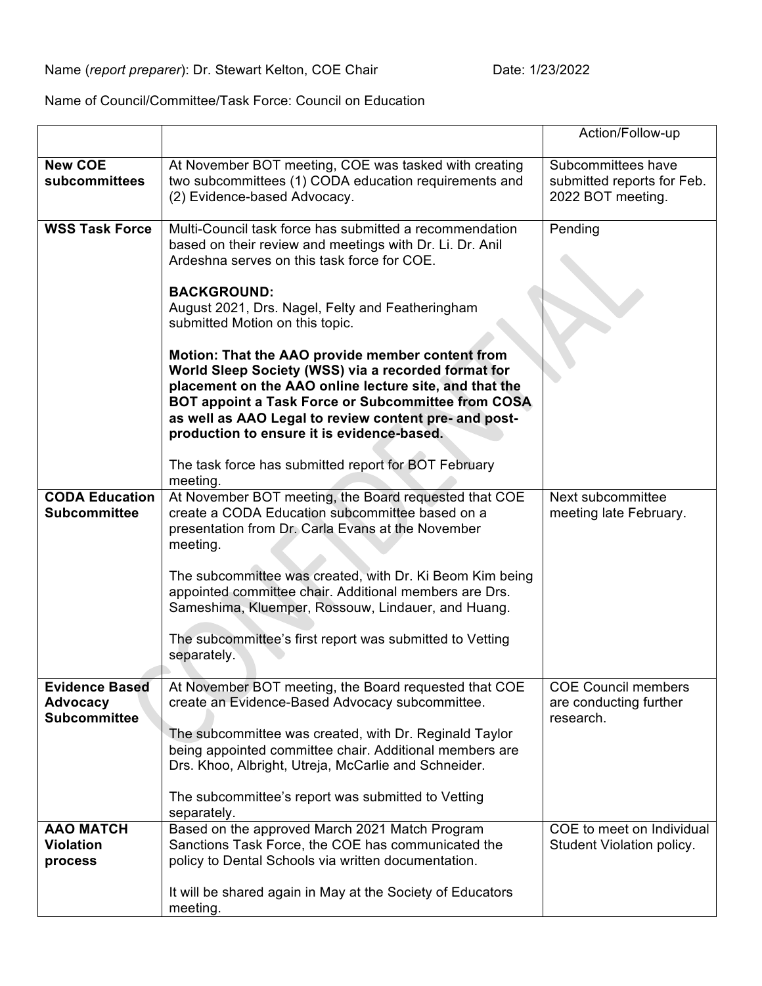Name of Council/Committee/Task Force: Council on Education

|                                                                 |                                                                                                                                                                                                                                                                                                                                | Action/Follow-up                                                      |
|-----------------------------------------------------------------|--------------------------------------------------------------------------------------------------------------------------------------------------------------------------------------------------------------------------------------------------------------------------------------------------------------------------------|-----------------------------------------------------------------------|
| <b>New COE</b><br>subcommittees                                 | At November BOT meeting, COE was tasked with creating<br>two subcommittees (1) CODA education requirements and<br>(2) Evidence-based Advocacy.                                                                                                                                                                                 | Subcommittees have<br>submitted reports for Feb.<br>2022 BOT meeting. |
| <b>WSS Task Force</b>                                           | Multi-Council task force has submitted a recommendation<br>based on their review and meetings with Dr. Li. Dr. Anil<br>Ardeshna serves on this task force for COE.                                                                                                                                                             | Pending                                                               |
|                                                                 | <b>BACKGROUND:</b><br>August 2021, Drs. Nagel, Felty and Featheringham<br>submitted Motion on this topic.                                                                                                                                                                                                                      |                                                                       |
|                                                                 | Motion: That the AAO provide member content from<br>World Sleep Society (WSS) via a recorded format for<br>placement on the AAO online lecture site, and that the<br>BOT appoint a Task Force or Subcommittee from COSA<br>as well as AAO Legal to review content pre- and post-<br>production to ensure it is evidence-based. |                                                                       |
|                                                                 | The task force has submitted report for BOT February<br>meeting.                                                                                                                                                                                                                                                               |                                                                       |
| <b>CODA Education</b><br><b>Subcommittee</b>                    | At November BOT meeting, the Board requested that COE<br>create a CODA Education subcommittee based on a<br>presentation from Dr. Carla Evans at the November<br>meeting.                                                                                                                                                      | Next subcommittee<br>meeting late February.                           |
|                                                                 | The subcommittee was created, with Dr. Ki Beom Kim being<br>appointed committee chair. Additional members are Drs.<br>Sameshima, Kluemper, Rossouw, Lindauer, and Huang.                                                                                                                                                       |                                                                       |
|                                                                 | The subcommittee's first report was submitted to Vetting<br>separately.                                                                                                                                                                                                                                                        |                                                                       |
| <b>Evidence Based</b><br><b>Advocacy</b><br><b>Subcommittee</b> | At November BOT meeting, the Board requested that COE<br>create an Evidence-Based Advocacy subcommittee.                                                                                                                                                                                                                       | <b>COE Council members</b><br>are conducting further<br>research.     |
|                                                                 | The subcommittee was created, with Dr. Reginald Taylor<br>being appointed committee chair. Additional members are<br>Drs. Khoo, Albright, Utreja, McCarlie and Schneider.                                                                                                                                                      |                                                                       |
|                                                                 | The subcommittee's report was submitted to Vetting<br>separately.                                                                                                                                                                                                                                                              |                                                                       |
| <b>AAO MATCH</b><br><b>Violation</b><br>process                 | Based on the approved March 2021 Match Program<br>Sanctions Task Force, the COE has communicated the<br>policy to Dental Schools via written documentation.                                                                                                                                                                    | COE to meet on Individual<br>Student Violation policy.                |
|                                                                 | It will be shared again in May at the Society of Educators<br>meeting.                                                                                                                                                                                                                                                         |                                                                       |